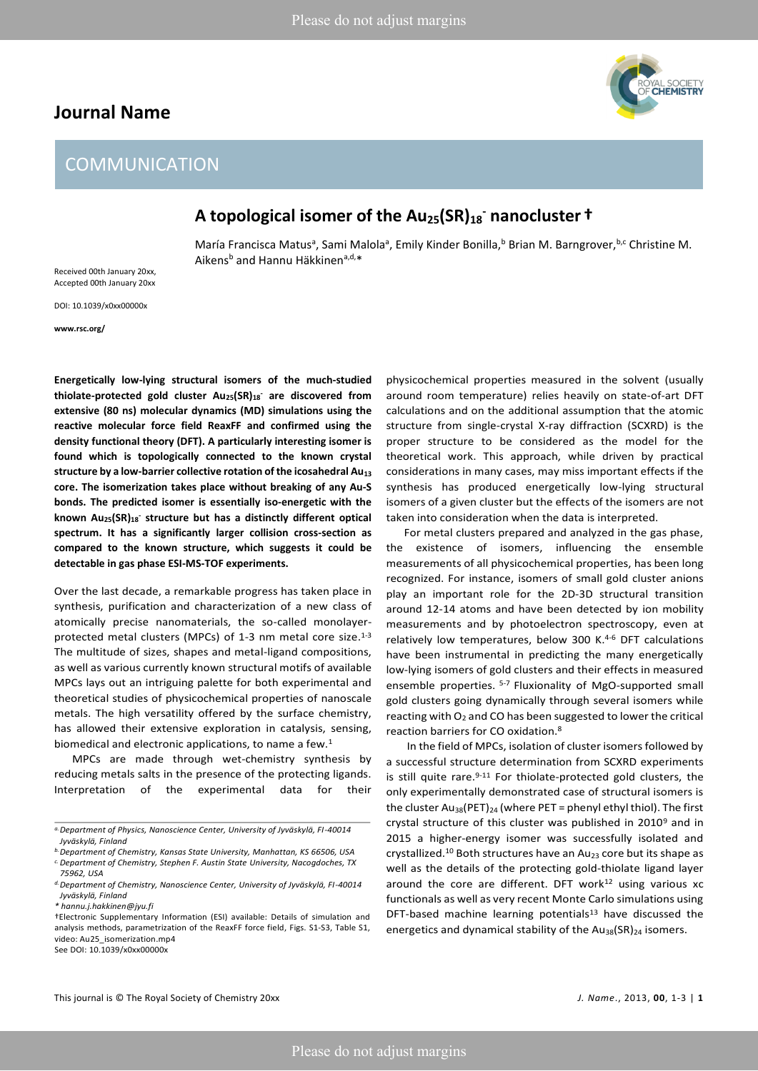## **Journal Name**

# AL SOCIETY<br>**:Hemistry**

# COMMUNICATION

# **A topological isomer of the Au25(SR)<sup>18</sup> - nanocluster †**

María Francisca Matus<sup>a</sup>, Sami Malola<sup>a</sup>, Emily Kinder Bonilla,<sup>b</sup> Brian M. Barngrover,<sup>b,c</sup> Christine M. Aikens<sup>b</sup> and Hannu Häkkinen<sup>a,d,\*</sup>

Received 00th January 20xx, Accepted 00th January 20xx

DOI: 10.1039/x0xx00000x

**www.rsc.org/** 

**Energetically low-lying structural isomers of the much-studied thiolate-protected gold cluster Au25(SR)18- are discovered from extensive (80 ns) molecular dynamics (MD) simulations using the reactive molecular force field ReaxFF and confirmed using the density functional theory (DFT). A particularly interesting isomer is found which is topologically connected to the known crystal structure by a low-barrier collective rotation of the icosahedral Au<sup>13</sup> core. The isomerization takes place without breaking of any Au-S bonds. The predicted isomer is essentially iso-energetic with the known Au25(SR)18- structure but has a distinctly different optical spectrum. It has a significantly larger collision cross-section as compared to the known structure, which suggests it could be detectable in gas phase ESI-MS-TOF experiments.** 

Over the last decade, a remarkable progress has taken place in synthesis, purification and characterization of a new class of atomically precise nanomaterials, the so-called monolayerprotected metal clusters (MPCs) of 1-3 nm metal core size.<sup>1-3</sup> The multitude of sizes, shapes and metal-ligand compositions, as well as various currently known structural motifs of available MPCs lays out an intriguing palette for both experimental and theoretical studies of physicochemical properties of nanoscale metals. The high versatility offered by the surface chemistry, has allowed their extensive exploration in catalysis, sensing, biomedical and electronic applications, to name a few.<sup>1</sup>

 MPCs are made through wet-chemistry synthesis by reducing metals salts in the presence of the protecting ligands. Interpretation of the experimental data for their

physicochemical properties measured in the solvent (usually around room temperature) relies heavily on state-of-art DFT calculations and on the additional assumption that the atomic structure from single-crystal X-ray diffraction (SCXRD) is the proper structure to be considered as the model for the theoretical work. This approach, while driven by practical considerations in many cases, may miss important effects if the synthesis has produced energetically low-lying structural isomers of a given cluster but the effects of the isomers are not taken into consideration when the data is interpreted.

 For metal clusters prepared and analyzed in the gas phase, the existence of isomers, influencing the ensemble measurements of all physicochemical properties, has been long recognized. For instance, isomers of small gold cluster anions play an important role for the 2D-3D structural transition around 12-14 atoms and have been detected by ion mobility measurements and by photoelectron spectroscopy, even at relatively low temperatures, below 300 K.4-6 DFT calculations have been instrumental in predicting the many energetically low-lying isomers of gold clusters and their effects in measured ensemble properties. 5-7 Fluxionality of MgO-supported small gold clusters going dynamically through several isomers while reacting with  $O_2$  and CO has been suggested to lower the critical reaction barriers for CO oxidation.<sup>8</sup>

 In the field of MPCs, isolation of cluster isomers followed by a successful structure determination from SCXRD experiments is still quite rare.<sup>9-11</sup> For thiolate-protected gold clusters, the only experimentally demonstrated case of structural isomers is the cluster Au<sub>38</sub>(PET)<sub>24</sub> (where PET = phenyl ethyl thiol). The first crystal structure of this cluster was published in 2010<sup>9</sup> and in 2015 a higher-energy isomer was successfully isolated and crystallized.<sup>10</sup> Both structures have an Au<sub>23</sub> core but its shape as well as the details of the protecting gold-thiolate ligand layer around the core are different. DFT work $12$  using various xc functionals as well as very recent Monte Carlo simulations using DFT-based machine learning potentials<sup>13</sup> have discussed the energetics and dynamical stability of the  $Au_{38}(SR)_{24}$  isomers.

*a.Department of Physics, Nanoscience Center, University of Jyväskylä, FI-40014 Jyväskylä, Finland* 

*b.Department of Chemistry, Kansas State University, Manhattan, KS 66506, USA* 

*c.Department of Chemistry, Stephen F. Austin State University, Nacogdoches, TX 75962, USA* 

*d.Department of Chemistry, Nanoscience Center, University of Jyväskylä, FI-40014 Jyväskylä, Finland* 

*<sup>\*</sup> hannu.j.hakkinen@jyu.fi* 

<sup>†</sup>Electronic Supplementary Information (ESI) available: Details of simulation and analysis methods, parametrization of the ReaxFF force field, Figs. S1-S3, Table S1, video: Au25\_isomerization.mp4 See DOI: 10.1039/x0xx00000x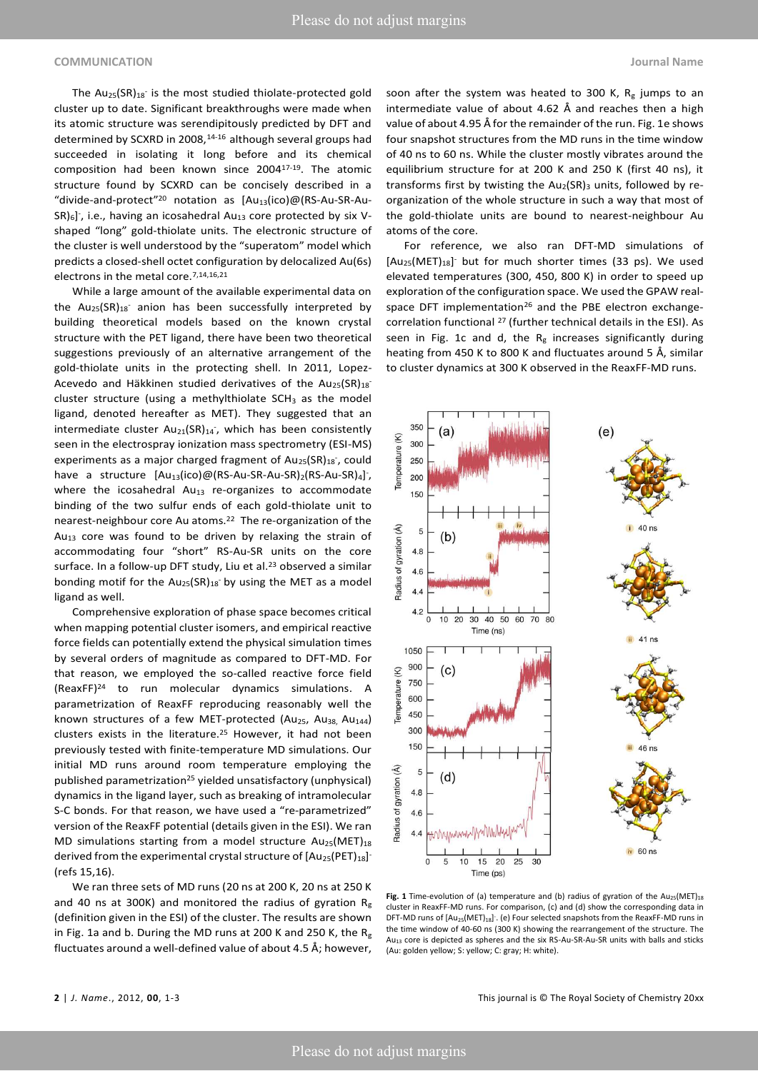#### **COMMUNICATION Journal Name**

The  $Au_{25}(SR)_{18}$  is the most studied thiolate-protected gold cluster up to date. Significant breakthroughs were made when its atomic structure was serendipitously predicted by DFT and determined by SCXRD in 2008,<sup>14-16</sup> although several groups had succeeded in isolating it long before and its chemical composition had been known since 200417-19. The atomic structure found by SCXRD can be concisely described in a "divide-and-protect"<sup>20</sup> notation as [Au<sub>13</sub>(ico)@(RS-Au-SR-Au- $SR$ )<sub>6</sub>]<sup>-</sup>, i.e., having an icosahedral Au<sub>13</sub> core protected by six Vshaped "long" gold-thiolate units. The electronic structure of the cluster is well understood by the "superatom" model which predicts a closed-shell octet configuration by delocalized Au(6s) electrons in the metal core.<sup>7,14,16,21</sup>

 While a large amount of the available experimental data on the  $Au_{25}(SR)_{18}$  anion has been successfully interpreted by building theoretical models based on the known crystal structure with the PET ligand, there have been two theoretical suggestions previously of an alternative arrangement of the gold-thiolate units in the protecting shell. In 2011, Lopez-Acevedo and Häkkinen studied derivatives of the  $Au_{25}(SR)_{18}^{-1}$ cluster structure (using a methylthiolate  $SCH<sub>3</sub>$  as the model ligand, denoted hereafter as MET). They suggested that an intermediate cluster Au<sub>21</sub>(SR)<sub>14</sub><sup>-</sup>, which has been consistently seen in the electrospray ionization mass spectrometry (ESI-MS) experiments as a major charged fragment of  $Au_{25}(SR)_{18}$ , could have a structure [Au<sub>13</sub>(ico)@(RS-Au-SR-Au-SR)<sub>2</sub>(RS-Au-SR)<sub>4</sub>]<sup>-</sup>, where the icosahedral  $Au_{13}$  re-organizes to accommodate binding of the two sulfur ends of each gold-thiolate unit to nearest-neighbour core Au atoms.<sup>22</sup> The re-organization of the  $Au_{13}$  core was found to be driven by relaxing the strain of accommodating four "short" RS-Au-SR units on the core surface. In a follow-up DFT study, Liu et al.<sup>23</sup> observed a similar bonding motif for the  $Au_{25}(SR)_{18}$  by using the MET as a model ligand as well.

 Comprehensive exploration of phase space becomes critical when mapping potential cluster isomers, and empirical reactive force fields can potentially extend the physical simulation times by several orders of magnitude as compared to DFT-MD. For that reason, we employed the so-called reactive force field (ReaxFF)24 to run molecular dynamics simulations. A parametrization of ReaxFF reproducing reasonably well the known structures of a few MET-protected (Au<sub>25</sub>, Au<sub>38,</sub> Au<sub>144</sub>) clusters exists in the literature.25 However, it had not been previously tested with finite-temperature MD simulations. Our initial MD runs around room temperature employing the published parametrization25 yielded unsatisfactory (unphysical) dynamics in the ligand layer, such as breaking of intramolecular S-C bonds. For that reason, we have used a "re-parametrized" version of the ReaxFF potential (details given in the ESI). We ran MD simulations starting from a model structure  $Au_{25}(MET)_{18}$ derived from the experimental crystal structure of  $[Au_{25}(PET)_{18}]$ (refs 15,16).

 We ran three sets of MD runs (20 ns at 200 K, 20 ns at 250 K and 40 ns at 300K) and monitored the radius of gyration  $R_g$ (definition given in the ESI) of the cluster. The results are shown in Fig. 1a and b. During the MD runs at 200 K and 250 K, the  $R_g$ fluctuates around a well-defined value of about 4.5 Å; however,

soon after the system was heated to 300 K,  $R_g$  jumps to an intermediate value of about 4.62 Å and reaches then a high value of about 4.95 Å for the remainder of the run. Fig. 1e shows four snapshot structures from the MD runs in the time window of 40 ns to 60 ns. While the cluster mostly vibrates around the equilibrium structure for at 200 K and 250 K (first 40 ns), it transforms first by twisting the  $Au_2(SR)$ <sub>3</sub> units, followed by reorganization of the whole structure in such a way that most of the gold-thiolate units are bound to nearest-neighbour Au atoms of the core.

 For reference, we also ran DFT-MD simulations of [Au<sub>25</sub>(MET)<sub>18</sub>] but for much shorter times (33 ps). We used elevated temperatures (300, 450, 800 K) in order to speed up exploration of the configuration space. We used the GPAW realspace DFT implementation<sup>26</sup> and the PBE electron exchangecorrelation functional <sup>27</sup> (further technical details in the ESI). As seen in Fig. 1c and d, the  $R_g$  increases significantly during heating from 450 K to 800 K and fluctuates around 5 Å, similar to cluster dynamics at 300 K observed in the ReaxFF-MD runs.



Fig. 1 Time-evolution of (a) temperature and (b) radius of gyration of the Au<sub>25</sub>(MET)<sub>18</sub> cluster in ReaxFF-MD runs. For comparison, (c) and (d) show the corresponding data in DFT-MD runs of  $[Au_{25}(MET)_{18}]$ . (e) Four selected snapshots from the ReaxFF-MD runs in the time window of 40-60 ns (300 K) showing the rearrangement of the structure. The Au<sub>13</sub> core is depicted as spheres and the six RS-Au-SR-Au-SR units with balls and sticks (Au: golden yellow; S: yellow; C: gray; H: white).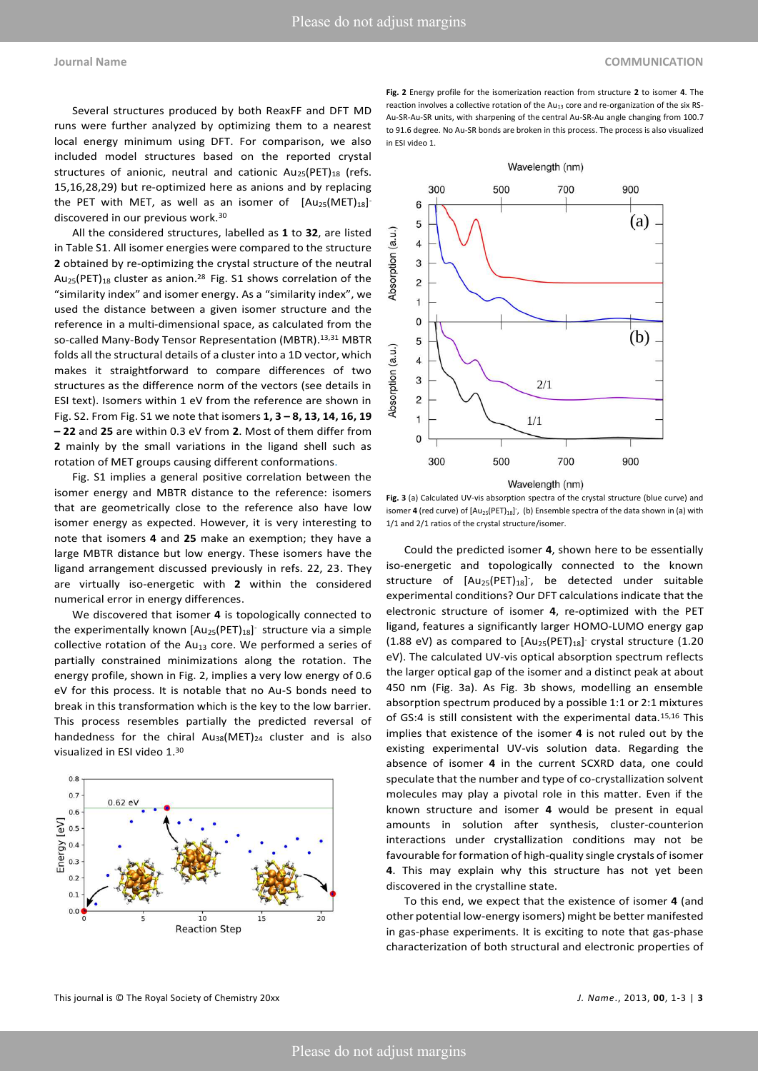Several structures produced by both ReaxFF and DFT MD runs were further analyzed by optimizing them to a nearest local energy minimum using DFT. For comparison, we also included model structures based on the reported crystal structures of anionic, neutral and cationic  $Au_{25}(PET)_{18}$  (refs. 15,16,28,29) but re-optimized here as anions and by replacing the PET with MET, as well as an isomer of  $[Au_{25}(MET)_{18}]$ discovered in our previous work.<sup>30</sup>

 All the considered structures, labelled as **1** to **32**, are listed in Table S1. All isomer energies were compared to the structure **2** obtained by re-optimizing the crystal structure of the neutral  $Au_{25}(PET)_{18}$  cluster as anion.<sup>28</sup> Fig. S1 shows correlation of the "similarity index" and isomer energy. As a "similarity index", we used the distance between a given isomer structure and the reference in a multi-dimensional space, as calculated from the so-called Many-Body Tensor Representation (MBTR).13,31 MBTR folds all the structural details of a cluster into a 1D vector, which makes it straightforward to compare differences of two structures as the difference norm of the vectors (see details in ESI text). Isomers within 1 eV from the reference are shown in Fig. S2. From Fig. S1 we note that isomers **1, 3 – 8, 13, 14, 16, 19 – 22** and **25** are within 0.3 eV from **2**. Most of them differ from **2** mainly by the small variations in the ligand shell such as rotation of MET groups causing different conformations.

 Fig. S1 implies a general positive correlation between the isomer energy and MBTR distance to the reference: isomers that are geometrically close to the reference also have low isomer energy as expected. However, it is very interesting to note that isomers **4** and **25** make an exemption; they have a large MBTR distance but low energy. These isomers have the ligand arrangement discussed previously in refs. 22, 23. They are virtually iso-energetic with **2** within the considered numerical error in energy differences.

 We discovered that isomer **4** is topologically connected to the experimentally known  $[Au_{25}(PET)_{18}]$ <sup>-</sup> structure via a simple collective rotation of the Au<sub>13</sub> core. We performed a series of partially constrained minimizations along the rotation. The energy profile, shown in Fig. 2, implies a very low energy of 0.6 eV for this process. It is notable that no Au-S bonds need to break in this transformation which is the key to the low barrier. This process resembles partially the predicted reversal of handedness for the chiral  $Au_{38}(MET)_{24}$  cluster and is also visualized in ESI video 1.<sup>30</sup>



**Fig. 2** Energy profile for the isomerization reaction from structure **2** to isomer **4**. The reaction involves a collective rotation of the  $Au_{13}$  core and re-organization of the six RS-Au-SR-Au-SR units, with sharpening of the central Au-SR-Au angle changing from 100.7 to 91.6 degree. No Au-SR bonds are broken in this process. The process is also visualized in ESI video 1.



Wavelength (nm)

**Fig. 3** (a) Calculated UV-vis absorption spectra of the crystal structure (blue curve) and isomer **4** (red curve) of  $[Au_{25}(PET)_{18}]$ , (b) Ensemble spectra of the data shown in (a) with 1/1 and 2/1 ratios of the crystal structure/isomer.

 Could the predicted isomer **4**, shown here to be essentially iso-energetic and topologically connected to the known structure of  $[Au_{25}(PET)_{18}]$ , be detected under suitable experimental conditions? Our DFT calculations indicate that the electronic structure of isomer **4**, re-optimized with the PET ligand, features a significantly larger HOMO-LUMO energy gap (1.88 eV) as compared to  $[Au_{25}(PET)_{18}]$ <sup>-</sup> crystal structure (1.20 eV). The calculated UV-vis optical absorption spectrum reflects the larger optical gap of the isomer and a distinct peak at about 450 nm (Fig. 3a). As Fig. 3b shows, modelling an ensemble absorption spectrum produced by a possible 1:1 or 2:1 mixtures of GS:4 is still consistent with the experimental data.<sup>15,16</sup> This implies that existence of the isomer **4** is not ruled out by the existing experimental UV-vis solution data. Regarding the absence of isomer **4** in the current SCXRD data, one could speculate that the number and type of co-crystallization solvent molecules may play a pivotal role in this matter. Even if the known structure and isomer **4** would be present in equal amounts in solution after synthesis, cluster-counterion interactions under crystallization conditions may not be favourable for formation of high-quality single crystals of isomer **4**. This may explain why this structure has not yet been discovered in the crystalline state.

 To this end, we expect that the existence of isomer **4** (and other potential low-energy isomers) might be better manifested in gas-phase experiments. It is exciting to note that gas-phase characterization of both structural and electronic properties of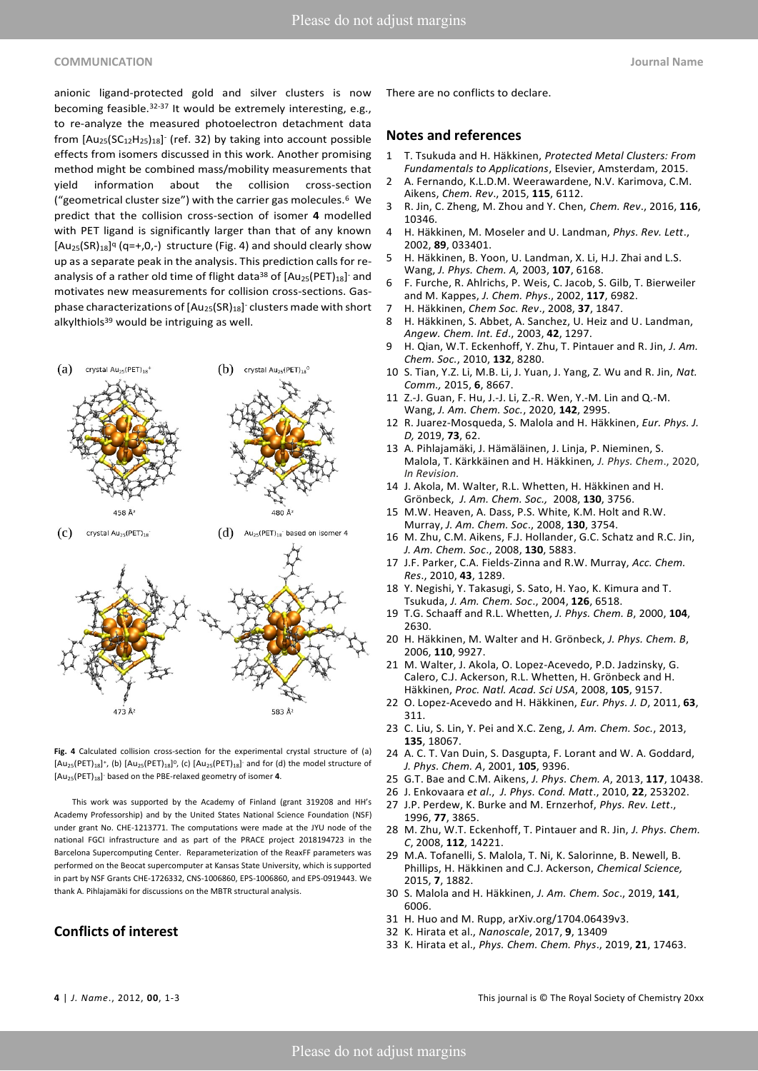#### **COMMUNICATION Journal Name**

anionic ligand-protected gold and silver clusters is now becoming feasible.32-37 It would be extremely interesting, e.g., to re-analyze the measured photoelectron detachment data from  $[Au_{25}(SC_{12}H_{25})_{18}]$  (ref. 32) by taking into account possible effects from isomers discussed in this work. Another promising method might be combined mass/mobility measurements that yield information about the collision cross-section ("geometrical cluster size") with the carrier gas molecules.<sup>6</sup> We predict that the collision cross-section of isomer **4** modelled with PET ligand is significantly larger than that of any known  $[Au_{25}(SR)_{18}]^q$  (q=+,0,-) structure (Fig. 4) and should clearly show up as a separate peak in the analysis. This prediction calls for reanalysis of a rather old time of flight data<sup>38</sup> of  $[Au_{25}(PET)_{18}]$  and motivates new measurements for collision cross-sections. Gasphase characterizations of [Au<sub>25</sub>(SR)<sub>18</sub>]<sup>-</sup> clusters made with short alkylthiols<sup>39</sup> would be intriguing as well.



**Fig. 4** Calculated collision cross-section for the experimental crystal structure of (a)  $[Au_{25}(PET)_{18}]^+$ , (b)  $[Au_{25}(PET)_{18}]^0$ , (c)  $[Au_{25}(PET)_{18}]^-$  and for (d) the model structure of [Au<sub>25</sub>(PET)<sub>18</sub>] based on the PBE-relaxed geometry of isomer 4.

 This work was supported by the Academy of Finland (grant 319208 and HH's Academy Professorship) and by the United States National Science Foundation (NSF) under grant No. CHE-1213771. The computations were made at the JYU node of the national FGCI infrastructure and as part of the PRACE project 2018194723 in the Barcelona Supercomputing Center. Reparameterization of the ReaxFF parameters was performed on the Beocat supercomputer at Kansas State University, which is supported in part by NSF Grants CHE-1726332, CNS-1006860, EPS-1006860, and EPS-0919443. We thank A. Pihlajamäki for discussions on the MBTR structural analysis.

### **Conflicts of interest**

There are no conflicts to declare.

#### **Notes and references**

- 1 T. Tsukuda and H. Häkkinen, *Protected Metal Clusters: From Fundamentals to Applications*, Elsevier, Amsterdam, 2015.
- 2 A. Fernando, K.L.D.M. Weerawardene, N.V. Karimova, C.M. Aikens, *Chem. Rev*., 2015, **115**, 6112.
- 3 R. Jin, C. Zheng, M. Zhou and Y. Chen, *Chem. Rev*., 2016, **116**, 10346.
- 4 H. Häkkinen, M. Moseler and U. Landman, *Phys. Rev. Lett*., 2002, **89**, 033401.
- 5 H. Häkkinen, B. Yoon, U. Landman, X. Li, H.J. Zhai and L.S. Wang, *J. Phys. Chem. A,* 2003, **107**, 6168.
- 6 F. Furche, R. Ahlrichs, P. Weis, C. Jacob, S. Gilb, T. Bierweiler and M. Kappes, *J. Chem. Phys*., 2002, **117**, 6982.
- 7 H. Häkkinen, *Chem Soc. Rev*., 2008, **37**, 1847.
- 8 H. Häkkinen, S. Abbet, A. Sanchez, U. Heiz and U. Landman, *Angew. Chem. Int. Ed*., 2003, **42**, 1297.
- 9 H. Qian, W.T. Eckenhoff, Y. Zhu, T. Pintauer and R. Jin, *J. Am. Chem. Soc.*, 2010, **132**, 8280.
- 10 S. Tian, Y.Z. Li, M.B. Li, J. Yuan, J. Yang, Z. Wu and R. Jin, *Nat. Comm.,* 2015, **6**, 8667.
- 11 Z.-J. Guan, F. Hu, J.-J. Li, Z.-R. Wen, Y.-M. Lin and Q.-M. Wang, *J. Am. Chem. Soc.*, 2020, **142**, 2995.
- 12 R. Juarez-Mosqueda, S. Malola and H. Häkkinen, *Eur. Phys. J. D,* 2019, **73**, 62.
- 13 A. Pihlajamäki, J. Hämäläinen, J. Linja, P. Nieminen, S. Malola, T. Kärkkäinen and H. Häkkinen*, J. Phys. Chem*., 2020, *In Revision.*
- 14 J. Akola, M. Walter, R.L. Whetten, H. Häkkinen and H. Grönbeck, *J. Am. Chem. Soc.,* 2008, **130**, 3756.
- 15 M.W. Heaven, A. Dass, P.S. White, K.M. Holt and R.W. Murray, *J. Am. Chem. Soc*., 2008, **130**, 3754.
- 16 M. Zhu, C.M. Aikens, F.J. Hollander, G.C. Schatz and R.C. Jin, *J. Am. Chem. Soc*., 2008, **130**, 5883.
- 17 J.F. Parker, C.A. Fields-Zinna and R.W. Murray, *Acc. Chem. Res*., 2010, **43**, 1289.
- 18 Y. Negishi, Y. Takasugi, S. Sato, H. Yao, K. Kimura and T. Tsukuda, *J. Am. Chem. Soc*., 2004, **126**, 6518.
- 19 T.G. Schaaff and R.L. Whetten, *J. Phys. Chem. B*, 2000, **104**, 2630.
- 20 H. Häkkinen, M. Walter and H. Grönbeck, *J. Phys. Chem. B*, 2006, **110**, 9927.
- 21 M. Walter, J. Akola, O. Lopez-Acevedo, P.D. Jadzinsky, G. Calero, C.J. Ackerson, R.L. Whetten, H. Grönbeck and H. Häkkinen, *Proc. Natl. Acad. Sci USA*, 2008, **105**, 9157.
- 22 O. Lopez-Acevedo and H. Häkkinen, *Eur. Phys. J. D*, 2011, **63**, 311.
- 23 C. Liu, S. Lin, Y. Pei and X.C. Zeng, *J. Am. Chem. Soc.*, 2013, **135**, 18067.
- 24 A. C. T. Van Duin, S. Dasgupta, F. Lorant and W. A. Goddard, *J. Phys. Chem. A*, 2001, **105**, 9396.
- 25 G.T. Bae and C.M. Aikens, *J. Phys. Chem. A*, 2013, **117**, 10438.
- 26 J. Enkovaara *et al*., *J. Phys. Cond. Matt*., 2010, **22**, 253202.
- 27 J.P. Perdew, K. Burke and M. Ernzerhof, *Phys. Rev. Lett*., 1996, **77**, 3865.
- 28 M. Zhu, W.T. Eckenhoff, T. Pintauer and R. Jin, *J. Phys. Chem. C*, 2008, **112**, 14221.
- 29 M.A. Tofanelli, S. Malola, T. Ni, K. Salorinne, B. Newell, B. Phillips, H. Häkkinen and C.J. Ackerson, *Chemical Science,*  2015, **7**, 1882.
- 30 S. Malola and H. Häkkinen, *J. Am. Chem. Soc*., 2019, **141**, 6006.
- 31 H. Huo and M. Rupp, arXiv.org/1704.06439v3.
- 32 K. Hirata et al., *Nanoscale*, 2017, **9**, 13409
- 33 K. Hirata et al., *Phys. Chem. Chem. Phys*., 2019, **21**, 17463.